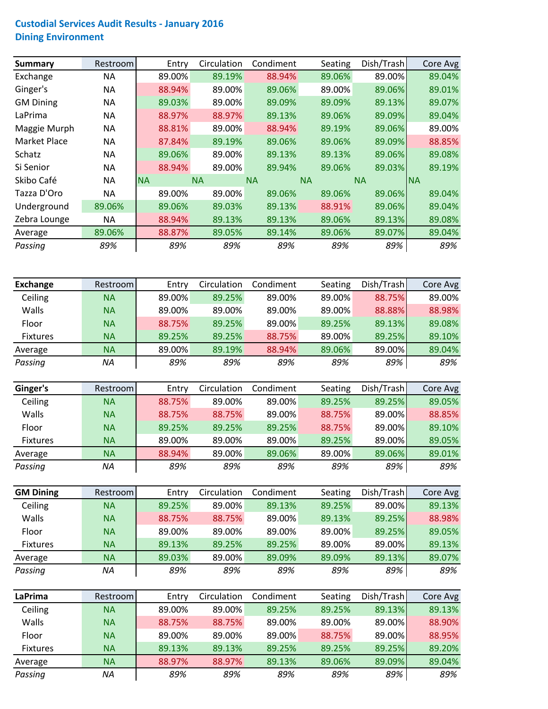## **Custodial Services Audit Results ‐ January 2016 Dining Environment**

| <b>Summary</b>   | Restroom |           | Entry  | Circulation | Condiment | Seating   | Dish/Trash | Core Avg  |
|------------------|----------|-----------|--------|-------------|-----------|-----------|------------|-----------|
| Exchange         | NA       |           | 89.00% | 89.19%      | 88.94%    | 89.06%    | 89.00%     | 89.04%    |
| Ginger's         | NA       |           | 88.94% | 89.00%      | 89.06%    | 89.00%    | 89.06%     | 89.01%    |
| <b>GM Dining</b> | ΝA       |           | 89.03% | 89.00%      | 89.09%    | 89.09%    | 89.13%     | 89.07%    |
| LaPrima          | NA       |           | 88.97% | 88.97%      | 89.13%    | 89.06%    | 89.09%     | 89.04%    |
| Maggie Murph     | NA       |           | 88.81% | 89.00%      | 88.94%    | 89.19%    | 89.06%     | 89.00%    |
| Market Place     | ΝA       |           | 87.84% | 89.19%      | 89.06%    | 89.06%    | 89.09%     | 88.85%    |
| Schatz           | ΝA       |           | 89.06% | 89.00%      | 89.13%    | 89.13%    | 89.06%     | 89.08%    |
| Si Senior        | NA       |           | 88.94% | 89.00%      | 89.94%    | 89.06%    | 89.03%     | 89.19%    |
| Skibo Café       | ΝA       | <b>NA</b> |        | <b>NA</b>   | <b>NA</b> | <b>NA</b> | <b>NA</b>  | <b>NA</b> |
| Tazza D'Oro      | NА       |           | 89.00% | 89.00%      | 89.06%    | 89.06%    | 89.06%     | 89.04%    |
| Underground      | 89.06%   |           | 89.06% | 89.03%      | 89.13%    | 88.91%    | 89.06%     | 89.04%    |
| Zebra Lounge     | ΝA       |           | 88.94% | 89.13%      | 89.13%    | 89.06%    | 89.13%     | 89.08%    |
| Average          | 89.06%   |           | 88.87% | 89.05%      | 89.14%    | 89.06%    | 89.07%     | 89.04%    |
| Passing          | 89%      |           | 89%    | 89%         | 89%       | 89%       | 89%        | 89%       |

| <b>Exchange</b> | Restrooml | Entry  | Circulation | Condiment | Seating | Dish/Trash | Core Avg |
|-----------------|-----------|--------|-------------|-----------|---------|------------|----------|
| Ceiling         | <b>NA</b> | 89.00% | 89.25%      | 89.00%    | 89.00%  | 88.75%     | 89.00%   |
| Walls           | <b>NA</b> | 89.00% | 89.00%      | 89.00%    | 89.00%  | 88.88%     | 88.98%   |
| Floor           | <b>NA</b> | 88.75% | 89.25%      | 89.00%    | 89.25%  | 89.13%     | 89.08%   |
| <b>Fixtures</b> | <b>NA</b> | 89.25% | 89.25%      | 88.75%    | 89.00%  | 89.25%     | 89.10%   |
| Average         | ΝA        | 89.00% | 89.19%      | 88.94%    | 89.06%  | 89.00%     | 89.04%   |
| Passing         | NA        | 89%    | 89%         | 89%       | 89%     | 89%        | 89%      |

| Ginger's        | Restroom  | Entry  | Circulation | Condiment | Seating | Dish/Trash | Core Avg |
|-----------------|-----------|--------|-------------|-----------|---------|------------|----------|
| Ceiling         | <b>NA</b> | 88.75% | 89.00%      | 89.00%    | 89.25%  | 89.25%     | 89.05%   |
| <b>Walls</b>    | <b>NA</b> | 88.75% | 88.75%      | 89.00%    | 88.75%  | 89.00%     | 88.85%   |
| Floor           | <b>NA</b> | 89.25% | 89.25%      | 89.25%    | 88.75%  | 89.00%     | 89.10%   |
| <b>Fixtures</b> | <b>NA</b> | 89.00% | 89.00%      | 89.00%    | 89.25%  | 89.00%     | 89.05%   |
| Average         | <b>NA</b> | 88.94% | 89.00%      | 89.06%    | 89.00%  | 89.06%     | 89.01%   |
| Passing         | ΝA        | 89%    | 89%         | 89%       | 89%     | 89%        | 89%      |

| <b>GM Dining</b> | Restroom  | Entry  | Circulation | Condiment | Seating | Dish/Trash | Core Avg |
|------------------|-----------|--------|-------------|-----------|---------|------------|----------|
| Ceiling          | <b>NA</b> | 89.25% | 89.00%      | 89.13%    | 89.25%  | 89.00%     | 89.13%   |
| Walls            | <b>NA</b> | 88.75% | 88.75%      | 89.00%    | 89.13%  | 89.25%     | 88.98%   |
| Floor            | <b>NA</b> | 89.00% | 89.00%      | 89.00%    | 89.00%  | 89.25%     | 89.05%   |
| <b>Fixtures</b>  | <b>NA</b> | 89.13% | 89.25%      | 89.25%    | 89.00%  | 89.00%     | 89.13%   |
| Average          | <b>NA</b> | 89.03% | 89.00%      | 89.09%    | 89.09%  | 89.13%     | 89.07%   |
| Passing          | ΝA        | 89%    | 89%         | 89%       | 89%     | 89%        | 89%      |

| LaPrima         | Restroom  | Entry  | Circulation | Condiment | Seating | Dish/Trash | Core Avg |
|-----------------|-----------|--------|-------------|-----------|---------|------------|----------|
| Ceiling         | <b>NA</b> | 89.00% | 89.00%      | 89.25%    | 89.25%  | 89.13%     | 89.13%   |
| Walls           | <b>NA</b> | 88.75% | 88.75%      | 89.00%    | 89.00%  | 89.00%     | 88.90%   |
| Floor           | <b>NA</b> | 89.00% | 89.00%      | 89.00%    | 88.75%  | 89.00%     | 88.95%   |
| <b>Fixtures</b> | <b>NA</b> | 89.13% | 89.13%      | 89.25%    | 89.25%  | 89.25%     | 89.20%   |
| Average         | <b>NA</b> | 88.97% | 88.97%      | 89.13%    | 89.06%  | 89.09%     | 89.04%   |
| Passing         | ΝA        | 89%    | 89%         | 89%       | 89%     | 89%        | 89%      |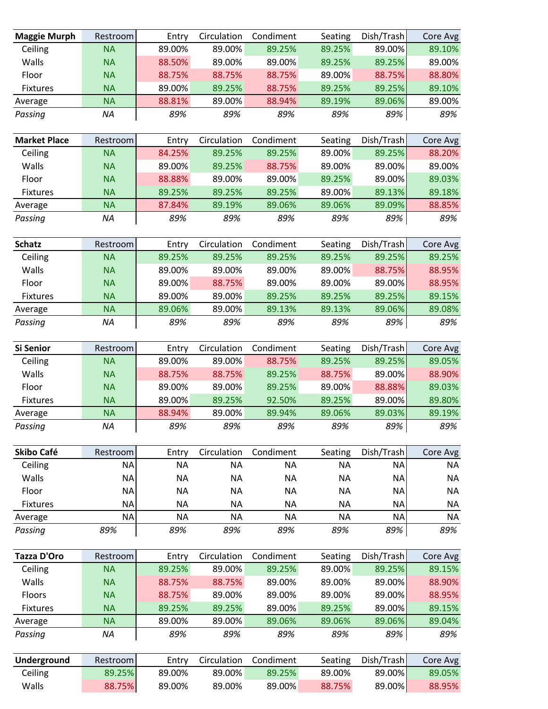| <b>Maggie Murph</b> | Restroom  | Entry     | Circulation | Condiment | Seating   | Dish/Trash | Core Avg  |
|---------------------|-----------|-----------|-------------|-----------|-----------|------------|-----------|
| Ceiling             | <b>NA</b> | 89.00%    | 89.00%      | 89.25%    | 89.25%    | 89.00%     | 89.10%    |
| Walls               | <b>NA</b> | 88.50%    | 89.00%      | 89.00%    | 89.25%    | 89.25%     | 89.00%    |
| Floor               | <b>NA</b> | 88.75%    | 88.75%      | 88.75%    | 89.00%    | 88.75%     | 88.80%    |
| <b>Fixtures</b>     | <b>NA</b> | 89.00%    | 89.25%      | 88.75%    | 89.25%    | 89.25%     | 89.10%    |
| Average             | <b>NA</b> | 88.81%    | 89.00%      | 88.94%    | 89.19%    | 89.06%     | 89.00%    |
| Passing             | <b>NA</b> | 89%       | 89%         | 89%       | 89%       | 89%        | 89%       |
|                     |           |           |             |           |           |            |           |
| <b>Market Place</b> | Restroom  | Entry     | Circulation | Condiment | Seating   | Dish/Trash | Core Avg  |
| Ceiling             | <b>NA</b> | 84.25%    | 89.25%      | 89.25%    | 89.00%    | 89.25%     | 88.20%    |
| Walls               | <b>NA</b> | 89.00%    | 89.25%      | 88.75%    | 89.00%    | 89.00%     | 89.00%    |
| Floor               | <b>NA</b> | 88.88%    | 89.00%      | 89.00%    | 89.25%    | 89.00%     | 89.03%    |
| <b>Fixtures</b>     | <b>NA</b> | 89.25%    | 89.25%      | 89.25%    | 89.00%    | 89.13%     | 89.18%    |
| Average             | <b>NA</b> | 87.84%    | 89.19%      | 89.06%    | 89.06%    | 89.09%     | 88.85%    |
| Passing             | NA        | 89%       | 89%         | 89%       | 89%       | 89%        | 89%       |
| <b>Schatz</b>       | Restroom  | Entry     | Circulation | Condiment | Seating   | Dish/Trash | Core Avg  |
| Ceiling             | <b>NA</b> | 89.25%    | 89.25%      | 89.25%    | 89.25%    | 89.25%     | 89.25%    |
| Walls               | <b>NA</b> | 89.00%    | 89.00%      | 89.00%    | 89.00%    | 88.75%     | 88.95%    |
| Floor               | <b>NA</b> | 89.00%    | 88.75%      | 89.00%    | 89.00%    | 89.00%     | 88.95%    |
| <b>Fixtures</b>     | <b>NA</b> | 89.00%    | 89.00%      | 89.25%    | 89.25%    | 89.25%     | 89.15%    |
| Average             | <b>NA</b> | 89.06%    | 89.00%      | 89.13%    | 89.13%    | 89.06%     | 89.08%    |
| Passing             | NA        | 89%       | 89%         | 89%       | 89%       | 89%        | 89%       |
| <b>Si Senior</b>    | Restroom  | Entry     | Circulation | Condiment | Seating   | Dish/Trash | Core Avg  |
| Ceiling             | <b>NA</b> | 89.00%    | 89.00%      | 88.75%    | 89.25%    | 89.25%     | 89.05%    |
| Walls               | <b>NA</b> | 88.75%    | 88.75%      | 89.25%    | 88.75%    | 89.00%     | 88.90%    |
| Floor               | <b>NA</b> | 89.00%    | 89.00%      | 89.25%    | 89.00%    | 88.88%     | 89.03%    |
| <b>Fixtures</b>     | <b>NA</b> | 89.00%    | 89.25%      | 92.50%    | 89.25%    | 89.00%     | 89.80%    |
| Average             | <b>NA</b> | 88.94%    | 89.00%      | 89.94%    | 89.06%    | 89.03%     | 89.19%    |
| Passing             | NA        | 89%       | 89%         | 89%       | 89%       | 89%        | 89%       |
| Skibo Café          | Restroom  | Entry     | Circulation | Condiment | Seating   | Dish/Trash | Core Avg  |
| Ceiling             | <b>NA</b> | <b>NA</b> | <b>NA</b>   | <b>NA</b> | <b>NA</b> | <b>NA</b>  | <b>NA</b> |
| Walls               | <b>NA</b> | <b>NA</b> | <b>NA</b>   | <b>NA</b> | <b>NA</b> | <b>NA</b>  | <b>NA</b> |
| Floor               | <b>NA</b> | <b>NA</b> | <b>NA</b>   | <b>NA</b> | <b>NA</b> | <b>NA</b>  | <b>NA</b> |
| <b>Fixtures</b>     | <b>NA</b> | <b>NA</b> | <b>NA</b>   | <b>NA</b> | <b>NA</b> | <b>NA</b>  | <b>NA</b> |
| Average             | <b>NA</b> | <b>NA</b> | <b>NA</b>   | <b>NA</b> | <b>NA</b> | <b>NA</b>  | <b>NA</b> |
| Passing             | 89%       | 89%       | 89%         | 89%       | 89%       | 89%        | 89%       |
| Tazza D'Oro         | Restroom  | Entry     | Circulation | Condiment | Seating   | Dish/Trash | Core Avg  |
| Ceiling             | <b>NA</b> | 89.25%    | 89.00%      | 89.25%    | 89.00%    | 89.25%     | 89.15%    |
| Walls               | <b>NA</b> | 88.75%    | 88.75%      | 89.00%    | 89.00%    | 89.00%     | 88.90%    |
| Floors              | <b>NA</b> | 88.75%    | 89.00%      | 89.00%    | 89.00%    | 89.00%     | 88.95%    |
| <b>Fixtures</b>     | <b>NA</b> | 89.25%    | 89.25%      | 89.00%    | 89.25%    | 89.00%     | 89.15%    |
| Average             | <b>NA</b> | 89.00%    | 89.00%      | 89.06%    | 89.06%    | 89.06%     | 89.04%    |
| Passing             | NA        | 89%       | 89%         | 89%       | 89%       | 89%        | 89%       |
|                     |           |           |             |           |           |            |           |
| Underground         | Restroom  | Entry     | Circulation | Condiment | Seating   | Dish/Trash | Core Avg  |
| Ceiling             | 89.25%    | 89.00%    | 89.00%      | 89.25%    | 89.00%    | 89.00%     | 89.05%    |
| Walls               | 88.75%    | 89.00%    | 89.00%      | 89.00%    | 88.75%    | 89.00%     | 88.95%    |